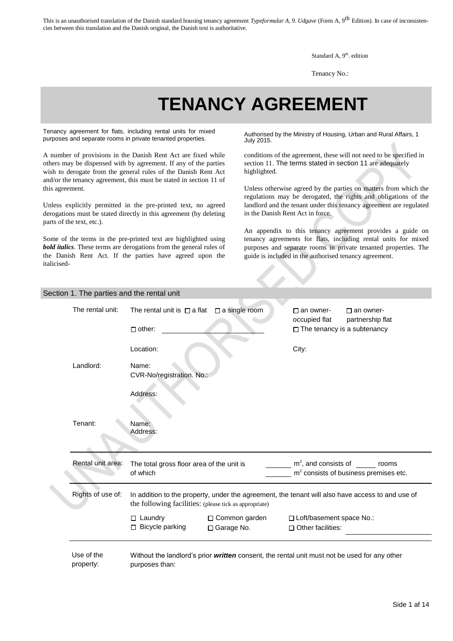Standard A, 9<sup>th</sup>. edition

Tenancy No.:

# **TENANCY AGREEMENT**

Tenancy agreement for flats, including rental units for mixed renancy agreement for flats, including rental units for mixed<br>purposes and separate rooms in private tenanted properties.<br> $\frac{1}{100}$  2015

A number of provisions in the Danish Rent Act are fixed while others may be dispensed with by agreement. If any of the parties wish to derogate from the general rules of the Danish Rent Act and/or the tenancy agreement, this must be stated in section 11 of this agreement.

Unless explicitly permitted in the pre-printed text, no agreed derogations must be stated directly in this agreement (by deleting parts of the text, etc.).

Some of the terms in the pre-printed text are highlighted using *bold italics*. These terms are derogations from the general rules of the Danish Rent Act. If the parties have agreed upon the italicisedJuly 2015.

conditions of the agreement, these will not need to be specified in section 11. The terms stated in section 11 are adequately highlighted.

Unless otherwise agreed by the parties on matters from which the regulations may be derogated, the rights and obligations of the landlord and the tenant under this tenancy agreement are regulated in the Danish Rent Act in force.

An appendix to this tenancy agreement provides a guide on tenancy agreements for flats, including rental units for mixed purposes and separate rooms in private tenanted properties. The guide is included in the authorised tenancy agreement.

#### Section 1. The parties and the rental unit

| The rental unit:        | The rental unit is $\Box$ a flat                                                                                                                           | $\Box$ a single room                                                                         | $\Box$ an owner-<br>occupied flat | $\Box$ an owner-<br>partnership flat                                    |
|-------------------------|------------------------------------------------------------------------------------------------------------------------------------------------------------|----------------------------------------------------------------------------------------------|-----------------------------------|-------------------------------------------------------------------------|
|                         | $\Box$ other:                                                                                                                                              |                                                                                              |                                   | $\Box$ The tenancy is a subtenancy                                      |
|                         | Location:                                                                                                                                                  |                                                                                              | City:                             |                                                                         |
| Landlord:               | Name:<br>CVR-No/registration. No.:                                                                                                                         |                                                                                              |                                   |                                                                         |
|                         | Address:                                                                                                                                                   |                                                                                              |                                   |                                                                         |
| Tenant:                 | Name:<br>Address:                                                                                                                                          |                                                                                              |                                   |                                                                         |
| Rental unit area:       | The total gross floor area of the unit is<br>of which                                                                                                      |                                                                                              |                                   | $m2$ , and consists of rooms<br>$m2$ consists of business premises etc. |
| Rights of use of:       | In addition to the property, under the agreement, the tenant will also have access to and use of<br>the following facilities: (please tick as appropriate) |                                                                                              |                                   |                                                                         |
|                         | $\Box$ Laundry                                                                                                                                             | □ Common garden                                                                              | □ Loft/basement space No.:        |                                                                         |
|                         | $\Box$ Bicycle parking                                                                                                                                     | $\Box$ Garage No.                                                                            | $\Box$ Other facilities:          |                                                                         |
| Use of the<br>property: | purposes than:                                                                                                                                             | Without the landlord's prior written consent, the rental unit must not be used for any other |                                   |                                                                         |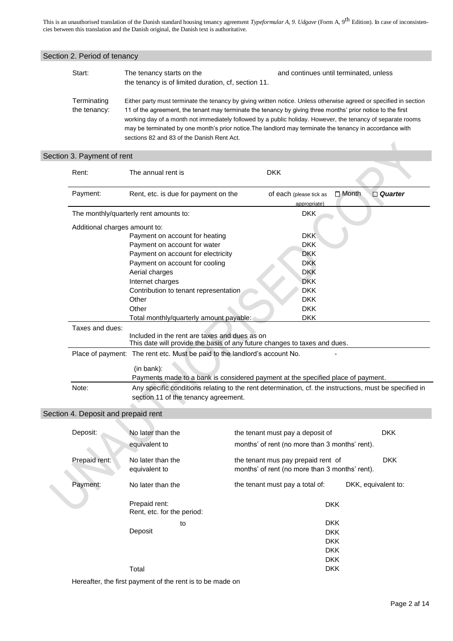| Start:                              | The tenancy starts on the<br>the tenancy is of limited duration, cf, section 11. | and continues until terminated, unless                                                                                                                                                                                                                                                                                                                                                                                                                      |
|-------------------------------------|----------------------------------------------------------------------------------|-------------------------------------------------------------------------------------------------------------------------------------------------------------------------------------------------------------------------------------------------------------------------------------------------------------------------------------------------------------------------------------------------------------------------------------------------------------|
| Terminating<br>the tenancy:         | sections 82 and 83 of the Danish Rent Act.                                       | Either party must terminate the tenancy by giving written notice. Unless otherwise agreed or specified in section<br>11 of the agreement, the tenant may terminate the tenancy by giving three months' prior notice to the first<br>working day of a month not immediately followed by a public holiday. However, the tenancy of separate rooms<br>may be terminated by one month's prior notice. The landlord may terminate the tenancy in accordance with |
| Section 3. Payment of rent          |                                                                                  |                                                                                                                                                                                                                                                                                                                                                                                                                                                             |
| Rent:                               | The annual rent is                                                               | <b>DKK</b>                                                                                                                                                                                                                                                                                                                                                                                                                                                  |
| Payment:                            | Rent, etc. is due for payment on the                                             | □ Month<br>$\Box$ Quarter<br>of each (please tick as<br>appropriate)                                                                                                                                                                                                                                                                                                                                                                                        |
|                                     | The monthly/quarterly rent amounts to:                                           | <b>DKK</b>                                                                                                                                                                                                                                                                                                                                                                                                                                                  |
|                                     | Additional charges amount to:                                                    |                                                                                                                                                                                                                                                                                                                                                                                                                                                             |
|                                     | Payment on account for heating                                                   | <b>DKK</b>                                                                                                                                                                                                                                                                                                                                                                                                                                                  |
|                                     | Payment on account for water                                                     | <b>DKK</b>                                                                                                                                                                                                                                                                                                                                                                                                                                                  |
|                                     | Payment on account for electricity                                               | <b>DKK</b>                                                                                                                                                                                                                                                                                                                                                                                                                                                  |
|                                     | Payment on account for cooling                                                   | <b>DKK</b>                                                                                                                                                                                                                                                                                                                                                                                                                                                  |
|                                     | Aerial charges                                                                   | <b>DKK</b>                                                                                                                                                                                                                                                                                                                                                                                                                                                  |
|                                     | Internet charges                                                                 | <b>DKK</b>                                                                                                                                                                                                                                                                                                                                                                                                                                                  |
|                                     | Contribution to tenant representation<br>Other                                   | <b>DKK</b><br><b>DKK</b>                                                                                                                                                                                                                                                                                                                                                                                                                                    |
|                                     | Other                                                                            | <b>DKK</b>                                                                                                                                                                                                                                                                                                                                                                                                                                                  |
|                                     | Total monthly/quarterly amount payable:                                          | <b>DKK</b>                                                                                                                                                                                                                                                                                                                                                                                                                                                  |
| Taxes and dues:                     |                                                                                  |                                                                                                                                                                                                                                                                                                                                                                                                                                                             |
|                                     | Included in the rent are taxes and dues as on                                    | This date will provide the basis of any future changes to taxes and dues.                                                                                                                                                                                                                                                                                                                                                                                   |
|                                     | Place of payment: The rent etc. Must be paid to the landlord's account No.       |                                                                                                                                                                                                                                                                                                                                                                                                                                                             |
|                                     | (in bank):                                                                       |                                                                                                                                                                                                                                                                                                                                                                                                                                                             |
|                                     |                                                                                  | Payments made to a bank is considered payment at the specified place of payment.                                                                                                                                                                                                                                                                                                                                                                            |
| Note:                               | section 11 of the tenancy agreement.                                             | Any specific conditions relating to the rent determination, cf. the instructions, must be specified in                                                                                                                                                                                                                                                                                                                                                      |
| Section 4. Deposit and prepaid rent |                                                                                  |                                                                                                                                                                                                                                                                                                                                                                                                                                                             |
| Deposit:                            | No later than the                                                                | the tenant must pay a deposit of<br><b>DKK</b>                                                                                                                                                                                                                                                                                                                                                                                                              |
|                                     | equivalent to                                                                    | months' of rent (no more than 3 months' rent).                                                                                                                                                                                                                                                                                                                                                                                                              |
| Prepaid rent:                       | No later than the<br>equivalent to                                               | <b>DKK</b><br>the tenant mus pay prepaid rent of<br>months' of rent (no more than 3 months' rent).                                                                                                                                                                                                                                                                                                                                                          |
| Payment:                            | No later than the                                                                | the tenant must pay a total of:<br>DKK, equivalent to:                                                                                                                                                                                                                                                                                                                                                                                                      |
|                                     | Prepaid rent:<br>Rent, etc. for the period:                                      | <b>DKK</b>                                                                                                                                                                                                                                                                                                                                                                                                                                                  |
|                                     | to                                                                               | <b>DKK</b>                                                                                                                                                                                                                                                                                                                                                                                                                                                  |
|                                     | Deposit                                                                          | <b>DKK</b>                                                                                                                                                                                                                                                                                                                                                                                                                                                  |
|                                     |                                                                                  |                                                                                                                                                                                                                                                                                                                                                                                                                                                             |
|                                     |                                                                                  | <b>DKK</b>                                                                                                                                                                                                                                                                                                                                                                                                                                                  |
|                                     |                                                                                  | <b>DKK</b>                                                                                                                                                                                                                                                                                                                                                                                                                                                  |
|                                     | Total                                                                            | <b>DKK</b><br><b>DKK</b>                                                                                                                                                                                                                                                                                                                                                                                                                                    |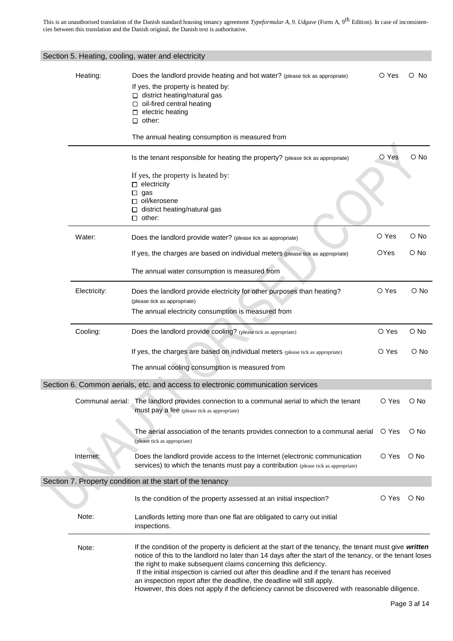|              | Section 5. Heating, cooling, water and electricity                                                                                                                                                                                                                                                                                                                                                                                                                                                                                                                 |             |            |  |  |  |
|--------------|--------------------------------------------------------------------------------------------------------------------------------------------------------------------------------------------------------------------------------------------------------------------------------------------------------------------------------------------------------------------------------------------------------------------------------------------------------------------------------------------------------------------------------------------------------------------|-------------|------------|--|--|--|
| Heating:     | Does the landlord provide heating and hot water? (please tick as appropriate)<br>If yes, the property is heated by:<br>□ district heating/natural gas<br>$\Box$ oil-fired central heating<br>$\Box$ electric heating<br>$\Box$ other:                                                                                                                                                                                                                                                                                                                              | O Yes       | O No       |  |  |  |
|              | The annual heating consumption is measured from                                                                                                                                                                                                                                                                                                                                                                                                                                                                                                                    |             |            |  |  |  |
|              | Is the tenant responsible for heating the property? (please tick as appropriate)                                                                                                                                                                                                                                                                                                                                                                                                                                                                                   | O Yes       | O No       |  |  |  |
|              | If yes, the property is heated by:<br>$\Box$ electricity<br>$\Box$ gas<br>□ oil/kerosene<br>□ district heating/natural gas                                                                                                                                                                                                                                                                                                                                                                                                                                         |             |            |  |  |  |
|              | $\Box$ other:                                                                                                                                                                                                                                                                                                                                                                                                                                                                                                                                                      |             |            |  |  |  |
| Water:       | Does the landlord provide water? (please tick as appropriate)                                                                                                                                                                                                                                                                                                                                                                                                                                                                                                      | O Yes       | O No       |  |  |  |
|              | If yes, the charges are based on individual meters (please tick as appropriate)                                                                                                                                                                                                                                                                                                                                                                                                                                                                                    | <b>OYes</b> | O No       |  |  |  |
|              | The annual water consumption is measured from                                                                                                                                                                                                                                                                                                                                                                                                                                                                                                                      |             |            |  |  |  |
| Electricity: | Does the landlord provide electricity for other purposes than heating?<br>(please tick as appropriate)                                                                                                                                                                                                                                                                                                                                                                                                                                                             | O Yes       | $\circ$ No |  |  |  |
|              | The annual electricity consumption is measured from                                                                                                                                                                                                                                                                                                                                                                                                                                                                                                                |             |            |  |  |  |
| Cooling:     | Does the landlord provide cooling? (please tick as appropriate)                                                                                                                                                                                                                                                                                                                                                                                                                                                                                                    | O Yes       | $\circ$ No |  |  |  |
|              | If yes, the charges are based on individual meters (please tick as appropriate)                                                                                                                                                                                                                                                                                                                                                                                                                                                                                    | O Yes       | $\circ$ No |  |  |  |
|              | The annual cooling consumption is measured from                                                                                                                                                                                                                                                                                                                                                                                                                                                                                                                    |             |            |  |  |  |
|              | Section 6. Common aerials, etc. and access to electronic communication services                                                                                                                                                                                                                                                                                                                                                                                                                                                                                    |             |            |  |  |  |
|              | Communal aerial: The landlord provides connection to a communal aerial to which the tenant<br>must pay a fee (please tick as appropriate)                                                                                                                                                                                                                                                                                                                                                                                                                          | O Yes       | O No       |  |  |  |
|              | The aerial association of the tenants provides connection to a communal aerial<br>(please tick as appropriate)                                                                                                                                                                                                                                                                                                                                                                                                                                                     | O Yes       | O No       |  |  |  |
| Internet:    | Does the landlord provide access to the Internet (electronic communication<br>services) to which the tenants must pay a contribution (please tick as appropriate)                                                                                                                                                                                                                                                                                                                                                                                                  | O Yes       | $\circ$ No |  |  |  |
|              | Section 7. Property condition at the start of the tenancy                                                                                                                                                                                                                                                                                                                                                                                                                                                                                                          |             |            |  |  |  |
|              | Is the condition of the property assessed at an initial inspection?                                                                                                                                                                                                                                                                                                                                                                                                                                                                                                | O Yes       | O No       |  |  |  |
| Note:        | Landlords letting more than one flat are obligated to carry out initial<br>inspections.                                                                                                                                                                                                                                                                                                                                                                                                                                                                            |             |            |  |  |  |
| Note:        | If the condition of the property is deficient at the start of the tenancy, the tenant must give written<br>notice of this to the landlord no later than 14 days after the start of the tenancy, or the tenant loses<br>the right to make subsequent claims concerning this deficiency.<br>If the initial inspection is carried out after this deadline and if the tenant has received<br>an inspection report after the deadline, the deadline will still apply.<br>However, this does not apply if the deficiency cannot be discovered with reasonable diligence. |             |            |  |  |  |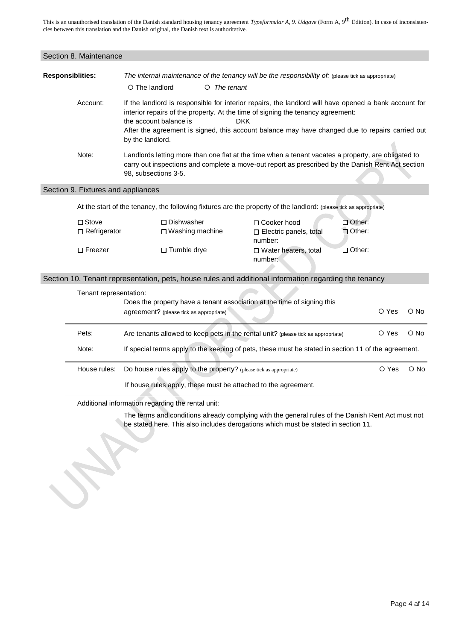| Section 8. Maintenance  |                                                                                                                    |                                                                                                                                                                                                                                                                                                                                                                                                                                                                                                                                                                                             |                   |                                                                                                       |                      |       |            |
|-------------------------|--------------------------------------------------------------------------------------------------------------------|---------------------------------------------------------------------------------------------------------------------------------------------------------------------------------------------------------------------------------------------------------------------------------------------------------------------------------------------------------------------------------------------------------------------------------------------------------------------------------------------------------------------------------------------------------------------------------------------|-------------------|-------------------------------------------------------------------------------------------------------|----------------------|-------|------------|
| <b>Responsiblities:</b> |                                                                                                                    | The internal maintenance of the tenancy will be the responsibility of: (please tick as appropriate)<br>$\circ$ The landlord<br>$O$ The tenant                                                                                                                                                                                                                                                                                                                                                                                                                                               |                   |                                                                                                       |                      |       |            |
|                         | Account:                                                                                                           | If the landlord is responsible for interior repairs, the landlord will have opened a bank account for<br>interior repairs of the property. At the time of signing the tenancy agreement:<br>the account balance is<br><b>DKK</b><br>After the agreement is signed, this account balance may have changed due to repairs carried out<br>by the landlord.<br>Landlords letting more than one flat at the time when a tenant vacates a property, are obligated to<br>carry out inspections and complete a move-out report as prescribed by the Danish Rent Act section<br>98, subsections 3-5. |                   |                                                                                                       |                      |       |            |
|                         | Note:                                                                                                              |                                                                                                                                                                                                                                                                                                                                                                                                                                                                                                                                                                                             |                   |                                                                                                       |                      |       |            |
|                         | Section 9. Fixtures and appliances                                                                                 |                                                                                                                                                                                                                                                                                                                                                                                                                                                                                                                                                                                             |                   |                                                                                                       |                      |       |            |
|                         | At the start of the tenancy, the following fixtures are the property of the landlord: (please tick as appropriate) |                                                                                                                                                                                                                                                                                                                                                                                                                                                                                                                                                                                             |                   |                                                                                                       |                      |       |            |
|                         | $\square$ Stove<br>$\Box$ Refrigerator                                                                             | $\Box$ Dishwasher                                                                                                                                                                                                                                                                                                                                                                                                                                                                                                                                                                           | □ Washing machine | □ Cooker hood<br>□ Electric panels, total<br>number:                                                  | □ Other:<br>□ Other: |       |            |
|                         | $\Box$ Freezer                                                                                                     | □ Tumble drye                                                                                                                                                                                                                                                                                                                                                                                                                                                                                                                                                                               |                   | □ Water heaters, total<br>number:                                                                     | $\Box$ Other:        |       |            |
|                         |                                                                                                                    |                                                                                                                                                                                                                                                                                                                                                                                                                                                                                                                                                                                             |                   | Section 10. Tenant representation, pets, house rules and additional information regarding the tenancy |                      |       |            |
|                         | Tenant representation:                                                                                             |                                                                                                                                                                                                                                                                                                                                                                                                                                                                                                                                                                                             |                   |                                                                                                       |                      |       |            |
|                         |                                                                                                                    | Does the property have a tenant association at the time of signing this<br>O Yes<br>agreement? (please tick as appropriate)                                                                                                                                                                                                                                                                                                                                                                                                                                                                 |                   |                                                                                                       | $\circ$ No           |       |            |
|                         | Pets:                                                                                                              |                                                                                                                                                                                                                                                                                                                                                                                                                                                                                                                                                                                             |                   | Are tenants allowed to keep pets in the rental unit? (please tick as appropriate)                     |                      | O Yes | $\circ$ No |
|                         | Note:                                                                                                              | If special terms apply to the keeping of pets, these must be stated in section 11 of the agreement.                                                                                                                                                                                                                                                                                                                                                                                                                                                                                         |                   |                                                                                                       |                      |       |            |
|                         | House rules:                                                                                                       | Do house rules apply to the property? (please tick as appropriate)                                                                                                                                                                                                                                                                                                                                                                                                                                                                                                                          |                   |                                                                                                       |                      | O Yes | $\circ$ No |
|                         |                                                                                                                    |                                                                                                                                                                                                                                                                                                                                                                                                                                                                                                                                                                                             |                   | If house rules apply, these must be attached to the agreement.                                        |                      |       |            |
|                         | Additional information regarding the rental unit:                                                                  |                                                                                                                                                                                                                                                                                                                                                                                                                                                                                                                                                                                             |                   |                                                                                                       |                      |       |            |

The terms and conditions already complying with the general rules of the Danish Rent Act must not be stated here. This also includes derogations which must be stated in section 11.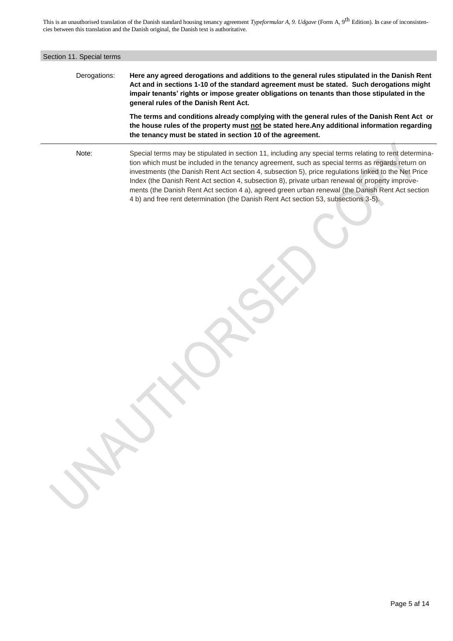| Section 11. Special terms |                                                                                                                                                                                                                                                                                                                                                                                                                                                                                                                                                                                                                  |  |  |
|---------------------------|------------------------------------------------------------------------------------------------------------------------------------------------------------------------------------------------------------------------------------------------------------------------------------------------------------------------------------------------------------------------------------------------------------------------------------------------------------------------------------------------------------------------------------------------------------------------------------------------------------------|--|--|
| Derogations:              | Here any agreed derogations and additions to the general rules stipulated in the Danish Rent<br>Act and in sections 1-10 of the standard agreement must be stated. Such derogations might<br>impair tenants' rights or impose greater obligations on tenants than those stipulated in the<br>general rules of the Danish Rent Act.                                                                                                                                                                                                                                                                               |  |  |
|                           | The terms and conditions already complying with the general rules of the Danish Rent Act or<br>the house rules of the property must not be stated here. Any additional information regarding<br>the tenancy must be stated in section 10 of the agreement.                                                                                                                                                                                                                                                                                                                                                       |  |  |
| Note:                     | Special terms may be stipulated in section 11, including any special terms relating to rent determina-<br>tion which must be included in the tenancy agreement, such as special terms as regards return on<br>investments (the Danish Rent Act section 4, subsection 5), price regulations linked to the Net Price<br>Index (the Danish Rent Act section 4, subsection 8), private urban renewal or property improve-<br>ments (the Danish Rent Act section 4 a), agreed green urban renewal (the Danish Rent Act section<br>4 b) and free rent determination (the Danish Rent Act section 53, subsections 3-5). |  |  |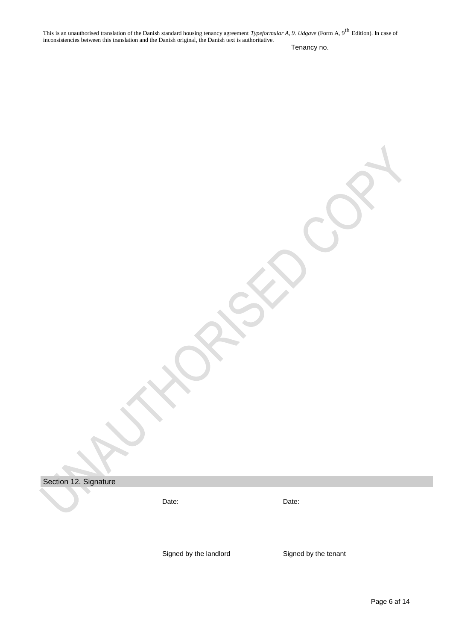Tenancy no.

Section 12. Signature

Date: Date: Date:

Signed by the landlord Signed by the tenant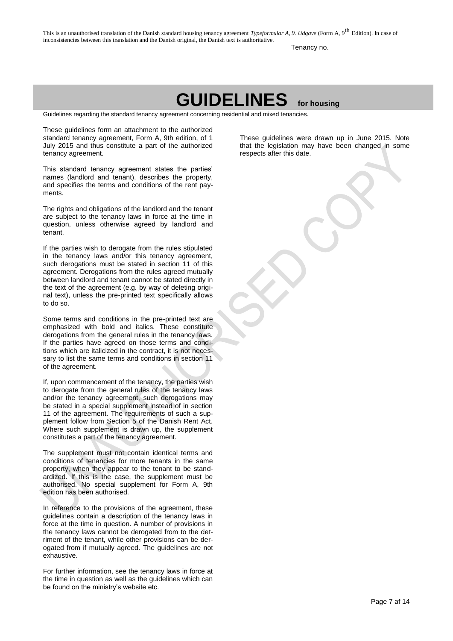Tenancy no.

# **GUIDELINES for housing**

Guidelines regarding the standard tenancy agreement concerning residential and mixed tenancies.

These guidelines form an attachment to the authorized standard tenancy agreement, Form A, 9th edition, of 1 July 2015 and thus constitute a part of the authorized tenancy agreement.

This standard tenancy agreement states the parties' names (landlord and tenant), describes the property, and specifies the terms and conditions of the rent payments.

The rights and obligations of the landlord and the tenant are subject to the tenancy laws in force at the time in question, unless otherwise agreed by landlord and tenant.

If the parties wish to derogate from the rules stipulated in the tenancy laws and/or this tenancy agreement, such derogations must be stated in section 11 of this agreement. Derogations from the rules agreed mutually between landlord and tenant cannot be stated directly in the text of the agreement (e.g. by way of deleting original text), unless the pre-printed text specifically allows to do so.

Some terms and conditions in the pre-printed text are emphasized with bold and italics. These constitute derogations from the general rules in the tenancy laws. If the parties have agreed on those terms and conditions which are italicized in the contract, it is not necessary to list the same terms and conditions in section 11 of the agreement.

If, upon commencement of the tenancy, the parties wish to derogate from the general rules of the tenancy laws and/or the tenancy agreement, such derogations may be stated in a special supplement instead of in section 11 of the agreement. The requirements of such a supplement follow from Section 5 of the Danish Rent Act. Where such supplement is drawn up, the supplement constitutes a part of the tenancy agreement.

The supplement must not contain identical terms and conditions of tenancies for more tenants in the same property, when they appear to the tenant to be standardized. If this is the case, the supplement must be authorised. No special supplement for Form A, 9th edition has been authorised.

In reference to the provisions of the agreement, these guidelines contain a description of the tenancy laws in force at the time in question. A number of provisions in the tenancy laws cannot be derogated from to the detriment of the tenant, while other provisions can be derogated from if mutually agreed. The guidelines are not exhaustive.

For further information, see the tenancy laws in force at the time in question as well as the guidelines which can be found on the ministry's website etc.

These guidelines were drawn up in June 2015. Note that the legislation may have been changed in some respects after this date.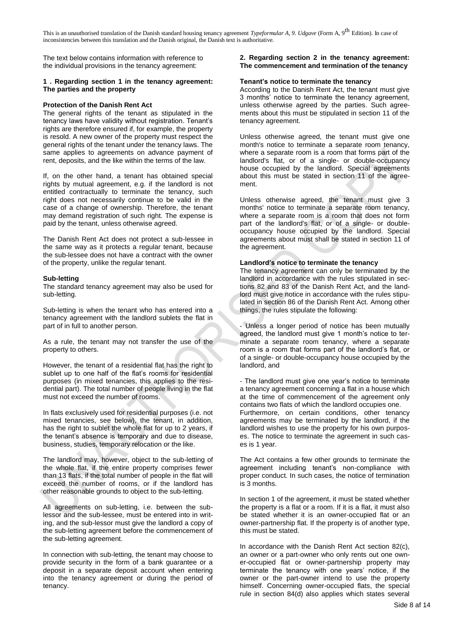The text below contains information with reference to the individual provisions in the tenancy agreement:

# **1 . Regarding section 1 in the tenancy agreement: The parties and the property**

# **Protection of the Danish Rent Act**

The general rights of the tenant as stipulated in the tenancy laws have validity without registration. Tenant's rights are therefore ensured if, for example, the property is resold. A new owner of the property must respect the general rights of the tenant under the tenancy laws. The same applies to agreements on advance payment of rent, deposits, and the like within the terms of the law.

If, on the other hand, a tenant has obtained special rights by mutual agreement, e.g. if the landlord is not entitled contractually to terminate the tenancy, such right does not necessarily continue to be valid in the case of a change of ownership. Therefore, the tenant may demand registration of such right. The expense is paid by the tenant, unless otherwise agreed.

The Danish Rent Act does not protect a sub-lessee in the same way as it protects a regular tenant, because the sub-lessee does not have a contract with the owner of the property, unlike the regular tenant.

# **Sub-letting**

The standard tenancy agreement may also be used for sub-letting.

Sub-letting is when the tenant who has entered into a tenancy agreement with the landlord sublets the flat in part of in full to another person.

As a rule, the tenant may not transfer the use of the property to others.

However, the tenant of a residential flat has the right to sublet up to one half of the flat's rooms for residential purposes (in mixed tenancies, this applies to the residential part). The total number of people living in the flat must not exceed the number of rooms.

In flats exclusively used for residential purposes (i.e. not mixed tenancies, see below), the tenant, in addition, has the right to sublet the whole flat for up to 2 years, if the tenant's absence is temporary and due to disease, business, studies, temporary relocation or the like.

The landlord may, however, object to the sub-letting of the whole flat, if the entire property comprises fewer than 13 flats, if the total number of people in the flat will exceed the number of rooms, or if the landlord has other reasonable grounds to object to the sub-letting.

All agreements on sub-letting, i.e. between the sublessor and the sub-lessee, must be entered into in writing, and the sub-lessor must give the landlord a copy of the sub-letting agreement before the commencement of the sub-letting agreement.

In connection with sub-letting, the tenant may choose to provide security in the form of a bank guarantee or a deposit in a separate deposit account when entering into the tenancy agreement or during the period of tenancy.

# **2. Regarding section 2 in the tenancy agreement: The commencement and termination of the tenancy**

#### **Tenant's notice to terminate the tenancy**

According to the Danish Rent Act, the tenant must give 3 months' notice to terminate the tenancy agreement, unless otherwise agreed by the parties. Such agreements about this must be stipulated in section 11 of the tenancy agreement.

Unless otherwise agreed, the tenant must give one month's notice to terminate a separate room tenancy, where a separate room is a room that forms part of the landlord's flat, or of a single- or double-occupancy house occupied by the landlord. Special agreements about this must be stated in section 11 of the agreement.

Unless otherwise agreed, the tenant must give 3 months' notice to terminate a separate room tenancy, where a separate room is a room that does not form part of the landlord's flat, or of a single- or doubleoccupancy house occupied by the landlord. Special agreements about must shall be stated in section 11 of the agreement.

#### **Landlord's notice to terminate the tenancy**

The tenancy agreement can only be terminated by the landlord in accordance with the rules stipulated in sections 82 and 83 of the Danish Rent Act, and the landlord must give notice in accordance with the rules stipulated in section 86 of the Danish Rent Act. Among other things, the rules stipulate the following:

- Unless a longer period of notice has been mutually agreed, the landlord must give 1 month's notice to terminate a separate room tenancy, where a separate room is a room that forms part of the landlord's flat, or of a single- or double-occupancy house occupied by the landlord, and

- The landlord must give one year's notice to terminate a tenancy agreement concerning a flat in a house which at the time of commencement of the agreement only contains two flats of which the landlord occupies one. Furthermore, on certain conditions, other tenancy agreements may be terminated by the landlord, if the landlord wishes to use the property for his own purposes. The notice to terminate the agreement in such cases is 1 year.

The Act contains a few other grounds to terminate the agreement including tenant's non-compliance with proper conduct. In such cases, the notice of termination is 3 months.

In section 1 of the agreement, it must be stated whether the property is a flat or a room. If it is a flat, it must also be stated whether it is an owner-occupied flat or an owner-partnership flat. If the property is of another type, this must be stated.

In accordance with the Danish Rent Act section 82(c), an owner or a part-owner who only rents out one owner-occupied flat or owner-partnership property may terminate the tenancy with one years' notice, if the owner or the part-owner intend to use the property himself. Concerning owner-occupied flats, the special rule in section 84(d) also applies which states several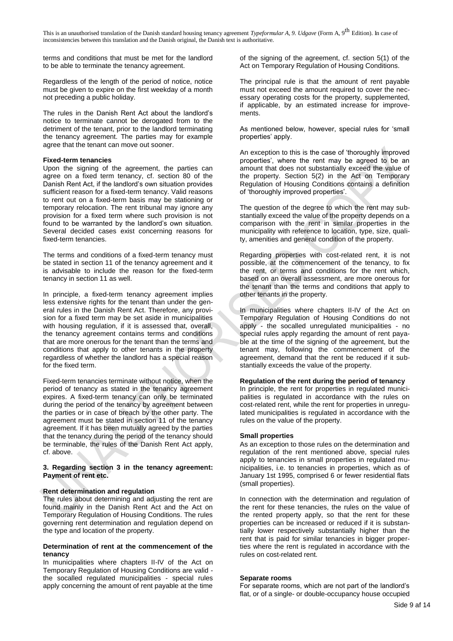terms and conditions that must be met for the landlord to be able to terminate the tenancy agreement.

Regardless of the length of the period of notice, notice must be given to expire on the first weekday of a month not preceding a public holiday.

The rules in the Danish Rent Act about the landlord's notice to terminate cannot be derogated from to the detriment of the tenant, prior to the landlord terminating the tenancy agreement. The parties may for example agree that the tenant can move out sooner.

# **Fixed-term tenancies**

Upon the signing of the agreement, the parties can agree on a fixed term tenancy, cf. section 80 of the Danish Rent Act, if the landlord's own situation provides sufficient reason for a fixed-term tenancy. Valid reasons to rent out on a fixed-term basis may be stationing or temporary relocation. The rent tribunal may ignore any provision for a fixed term where such provision is not found to be warranted by the landlord's own situation. Several decided cases exist concerning reasons for fixed-term tenancies.

The terms and conditions of a fixed-term tenancy must be stated in section 11 of the tenancy agreement and it is advisable to include the reason for the fixed-term tenancy in section 11 as well.

In principle, a fixed-term tenancy agreement implies less extensive rights for the tenant than under the general rules in the Danish Rent Act. Therefore, any provision for a fixed term may be set aside in municipalities with housing regulation, if it is assessed that, overall, the tenancy agreement contains terms and conditions that are more onerous for the tenant than the terms and conditions that apply to other tenants in the property regardless of whether the landlord has a special reason for the fixed term.

Fixed-term tenancies terminate without notice, when the period of tenancy as stated in the tenancy agreement expires. A fixed-term tenancy can only be terminated during the period of the tenancy by agreement between the parties or in case of breach by the other party. The agreement must be stated in section 11 of the tenancy agreement. If it has been mutually agreed by the parties that the tenancy during the period of the tenancy should be terminable, the rules of the Danish Rent Act apply, cf. above.

# **3. Regarding section 3 in the tenancy agreement: Payment of rent etc.**

# **Rent determination and regulation**

The rules about determining and adjusting the rent are found mainly in the Danish Rent Act and the Act on Temporary Regulation of Housing Conditions. The rules governing rent determination and regulation depend on the type and location of the property.

#### **Determination of rent at the commencement of the tenancy**

In municipalities where chapters II-IV of the Act on Temporary Regulation of Housing Conditions are valid the socalled regulated municipalities - special rules apply concerning the amount of rent payable at the time

of the signing of the agreement, cf. section 5(1) of the Act on Temporary Regulation of Housing Conditions.

The principal rule is that the amount of rent payable must not exceed the amount required to cover the necessary operating costs for the property, supplemented, if applicable, by an estimated increase for improvements.

As mentioned below, however, special rules for 'small properties' apply.

An exception to this is the case of 'thoroughly improved properties', where the rent may be agreed to be an amount that does not substantially exceed the value of the property. Section 5(2) in the Act on Temporary Regulation of Housing Conditions contains a definition of 'thoroughly improved properties'.

The question of the degree to which the rent may substantially exceed the value of the property depends on a comparison with the rent in similar properties in the municipality with reference to location, type, size, quality, amenities and general condition of the property.

Regarding properties with cost-related rent, it is not possible, at the commencement of the tenancy, to fix the rent, or terms and conditions for the rent which, based on an overall assessment, are more onerous for the tenant than the terms and conditions that apply to other tenants in the property.

In municipalities where chapters II-IV of the Act on Temporary Regulation of Housing Conditions do not apply - the socalled unregulated municipalities - no special rules apply regarding the amount of rent payable at the time of the signing of the agreement, but the tenant may, following the commencement of the agreement. demand that the rent be reduced if it substantially exceeds the value of the property.

# **Regulation of the rent during the period of tenancy**

In principle, the rent for properties in regulated municipalities is regulated in accordance with the rules on cost-related rent, while the rent for properties in unregulated municipalities is regulated in accordance with the rules on the value of the property.

# **Small properties**

As an exception to those rules on the determination and regulation of the rent mentioned above, special rules apply to tenancies in small properties in regulated municipalities, i.e. to tenancies in properties, which as of January 1st 1995, comprised 6 or fewer residential flats (small properties).

In connection with the determination and regulation of the rent for these tenancies, the rules on the value of the rented property apply, so that the rent for these properties can be increased or reduced if it is substantially lower respectively substantially higher than the rent that is paid for similar tenancies in bigger properties where the rent is regulated in accordance with the rules on cost-related rent.

# **Separate rooms**

For separate rooms, which are not part of the landlord's flat, or of a single- or double-occupancy house occupied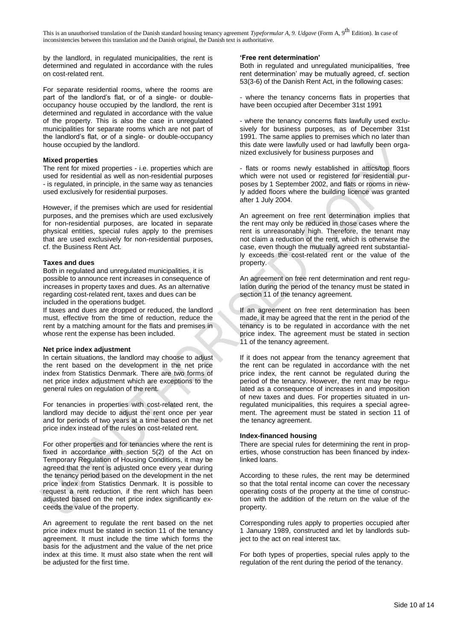by the landlord, in regulated municipalities, the rent is determined and regulated in accordance with the rules on cost-related rent.

For separate residential rooms, where the rooms are part of the landlord's flat, or of a single- or doubleoccupancy house occupied by the landlord, the rent is determined and regulated in accordance with the value of the property. This is also the case in unregulated municipalities for separate rooms which are not part of the landlord's flat, or of a single- or double-occupancy house occupied by the landlord.

# **Mixed properties**

The rent for mixed properties - i.e. properties which are used for residential as well as non-residential purposes - is regulated, in principle, in the same way as tenancies used exclusively for residential purposes.

However, if the premises which are used for residential purposes, and the premises which are used exclusively for non-residential purposes, are located in separate physical entities, special rules apply to the premises that are used exclusively for non-residential purposes, cf. the Business Rent Act.

# **Taxes and dues**

Both in regulated and unregulated municipalities, it is possible to announce rent increases in consequence of increases in property taxes and dues. As an alternative regarding cost-related rent, taxes and dues can be included in the operations budget.

If taxes and dues are dropped or reduced, the landlord must, effective from the time of reduction, reduce the rent by a matching amount for the flats and premises in whose rent the expense has been included.

#### **Net price index adjustment**

In certain situations, the landlord may choose to adjust the rent based on the development in the net price index from Statistics Denmark. There are two forms of net price index adjustment which are exceptions to the general rules on regulation of the rent.

For tenancies in properties with cost-related rent, the landlord may decide to adjust the rent once per year and for periods of two years at a time based on the net price index instead of the rules on cost-related rent.

For other properties and for tenancies where the rent is fixed in accordance with section 5(2) of the Act on Temporary Regulation of Housing Conditions, it may be agreed that the rent is adjusted once every year during the tenancy period based on the development in the net price index from Statistics Denmark. It is possible to request a rent reduction, if the rent which has been adjusted based on the net price index significantly exceeds the value of the property.

An agreement to regulate the rent based on the net price index must be stated in section 11 of the tenancy agreement. It must include the time which forms the basis for the adjustment and the value of the net price index at this time. It must also state when the rent will be adjusted for the first time.

#### **'Free rent determination'**

Both in regulated and unregulated municipalities, 'free rent determination' may be mutually agreed, cf. section 53(3-6) of the Danish Rent Act, in the following cases:

- where the tenancy concerns flats in properties that have been occupied after December 31st 1991

- where the tenancy concerns flats lawfully used exclusively for business purposes, as of December 31st 1991. The same applies to premises which no later than this date were lawfully used or had lawfully been organized exclusively for business purposes and

- flats or rooms newly established in attics/top floors which were not used or registered for residential purposes by 1 September 2002, and flats or rooms in newly added floors where the building licence was granted after 1 July 2004.

An agreement on free rent determination implies that the rent may only be reduced in those cases where the rent is unreasonably high. Therefore, the tenant may not claim a reduction of the rent, which is otherwise the case, even though the mutually agreed rent substantially exceeds the cost-related rent or the value of the property.

An agreement on free rent determination and rent regulation during the period of the tenancy must be stated in section 11 of the tenancy agreement.

If an agreement on free rent determination has been made, it may be agreed that the rent in the period of the tenancy is to be regulated in accordance with the net price index. The agreement must be stated in section 11 of the tenancy agreement.

If it does not appear from the tenancy agreement that the rent can be regulated in accordance with the net price index, the rent cannot be regulated during the period of the tenancy. However, the rent may be regulated as a consequence of increases in and imposition of new taxes and dues. For properties situated in unregulated municipalities, this requires a special agreement. The agreement must be stated in section 11 of the tenancy agreement.

#### **Index-financed housing**

There are special rules for determining the rent in properties, whose construction has been financed by indexlinked loans.

According to these rules, the rent may be determined so that the total rental income can cover the necessary operating costs of the property at the time of construction with the addition of the return on the value of the property.

Corresponding rules apply to properties occupied after 1 January 1989, constructed and let by landlords subject to the act on real interest tax.

For both types of properties, special rules apply to the regulation of the rent during the period of the tenancy.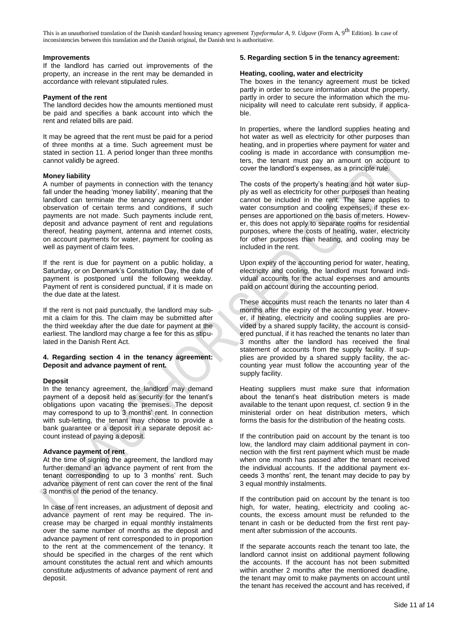# **Improvements**

If the landlord has carried out improvements of the property, an increase in the rent may be demanded in accordance with relevant stipulated rules.

#### **Payment of the rent**

The landlord decides how the amounts mentioned must be paid and specifies a bank account into which the rent and related bills are paid.

It may be agreed that the rent must be paid for a period of three months at a time. Such agreement must be stated in section 11. A period longer than three months cannot validly be agreed.

#### **Money liability**

A number of payments in connection with the tenancy fall under the heading 'money liability', meaning that the landlord can terminate the tenancy agreement under observation of certain terms and conditions, if such payments are not made. Such payments include rent, deposit and advance payment of rent and regulations thereof, heating payment, antenna and internet costs, on account payments for water, payment for cooling as well as payment of claim fees.

If the rent is due for payment on a public holiday, a Saturday, or on Denmark's Constitution Day, the date of payment is postponed until the following weekday. Payment of rent is considered punctual, if it is made on the due date at the latest.

If the rent is not paid punctually, the landlord may submit a claim for this. The claim may be submitted after the third weekday after the due date for payment at the earliest. The landlord may charge a fee for this as stipulated in the Danish Rent Act.

#### **4. Regarding section 4 in the tenancy agreement: Deposit and advance payment of rent.**

# **Deposit**

In the tenancy agreement, the landlord may demand payment of a deposit held as security for the tenant's obligations upon vacating the premises. The deposit may correspond to up to 3 months' rent. In connection with sub-letting, the tenant may choose to provide a bank guarantee or a deposit in a separate deposit account instead of paying a deposit.

#### **Advance payment of rent**

At the time of signing the agreement, the landlord may further demand an advance payment of rent from the tenant corresponding to up to 3 months' rent. Such advance payment of rent can cover the rent of the final 3 months of the period of the tenancy.

In case of rent increases, an adjustment of deposit and advance payment of rent may be required. The increase may be charged in equal monthly instalments over the same number of months as the deposit and advance payment of rent corresponded to in proportion to the rent at the commencement of the tenancy. It should be specified in the charges of the rent which amount constitutes the actual rent and which amounts constitute adjustments of advance payment of rent and deposit.

#### **5. Regarding section 5 in the tenancy agreement:**

#### **Heating, cooling, water and electricity**

The boxes in the tenancy agreement must be ticked partly in order to secure information about the property, partly in order to secure the information which the municipality will need to calculate rent subsidy, if applicable.

In properties, where the landlord supplies heating and hot water as well as electricity for other purposes than heating, and in properties where payment for water and cooling is made in accordance with consumption meters, the tenant must pay an amount on account to cover the landlord's expenses, as a principle rule.

The costs of the property's heating and hot water supply as well as electricity for other purposes than heating cannot be included in the rent. The same applies to water consumption and cooling expenses, if these expenses are apportioned on the basis of meters. However, this does not apply to separate rooms for residential purposes, where the costs of heating, water, electricity for other purposes than heating, and cooling may be included in the rent.

Upon expiry of the accounting period for water, heating, electricity and cooling, the landlord must forward individual accounts for the actual expenses and amounts paid on account during the accounting period.

These accounts must reach the tenants no later than 4 months after the expiry of the accounting year. However, if heating, electricity and cooling supplies are provided by a shared supply facility, the account is considered punctual, if it has reached the tenants no later than 3 months after the landlord has received the final statement of accounts from the supply facility. If supplies are provided by a shared supply facility, the accounting year must follow the accounting year of the supply facility.

Heating suppliers must make sure that information about the tenant's heat distribution meters is made available to the tenant upon request, cf. section 9 in the ministerial order on heat distribution meters, which forms the basis for the distribution of the heating costs.

If the contribution paid on account by the tenant is too low, the landlord may claim additional payment in connection with the first rent payment which must be made when one month has passed after the tenant received the individual accounts. If the additional payment exceeds 3 months' rent, the tenant may decide to pay by 3 equal monthly instalments.

If the contribution paid on account by the tenant is too high, for water, heating, electricity and cooling accounts, the excess amount must be refunded to the tenant in cash or be deducted from the first rent payment after submission of the accounts.

If the separate accounts reach the tenant too late, the landlord cannot insist on additional payment following the accounts. If the account has not been submitted within another 2 months after the mentioned deadline, the tenant may omit to make payments on account until the tenant has received the account and has received, if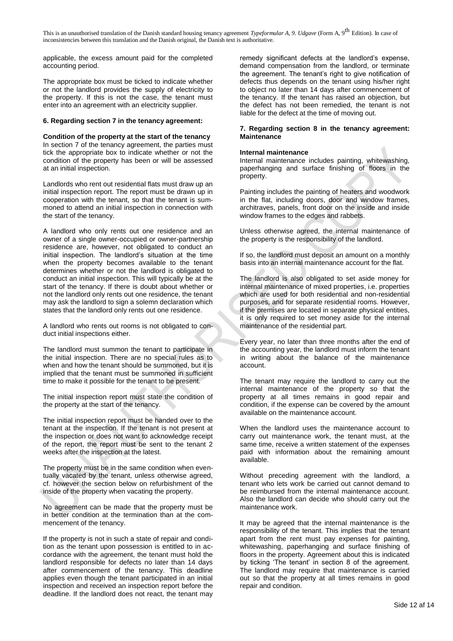applicable, the excess amount paid for the completed accounting period.

The appropriate box must be ticked to indicate whether or not the landlord provides the supply of electricity to the property. If this is not the case, the tenant must enter into an agreement with an electricity supplier.

#### **6. Regarding section 7 in the tenancy agreement:**

**Condition of the property at the start of the tenancy** In section 7 of the tenancy agreement, the parties must tick the appropriate box to indicate whether or not the condition of the property has been or will be assessed at an initial inspection.

Landlords who rent out residential flats must draw up an initial inspection report. The report must be drawn up in cooperation with the tenant, so that the tenant is summoned to attend an initial inspection in connection with the start of the tenancy.

A landlord who only rents out one residence and an owner of a single owner-occupied or owner-partnership residence are, however, not obligated to conduct an initial inspection. The landlord's situation at the time when the property becomes available to the tenant determines whether or not the landlord is obligated to conduct an initial inspection. This will typically be at the start of the tenancy. If there is doubt about whether or not the landlord only rents out one residence, the tenant may ask the landlord to sign a solemn declaration which states that the landlord only rents out one residence.

A landlord who rents out rooms is not obligated to conduct initial inspections either.

The landlord must summon the tenant to participate in the initial inspection. There are no special rules as to when and how the tenant should be summoned, but it is implied that the tenant must be summoned in sufficient time to make it possible for the tenant to be present.

The initial inspection report must state the condition of the property at the start of the tenancy.

The initial inspection report must be handed over to the tenant at the inspection. If the tenant is not present at the inspection or does not want to acknowledge receipt of the report, the report must be sent to the tenant 2 weeks after the inspection at the latest.

The property must be in the same condition when eventually vacated by the tenant, unless otherwise agreed, cf. however the section below on refurbishment of the inside of the property when vacating the property.

No agreement can be made that the property must be in better condition at the termination than at the commencement of the tenancy.

If the property is not in such a state of repair and condition as the tenant upon possession is entitled to in accordance with the agreement, the tenant must hold the landlord responsible for defects no later than 14 days after commencement of the tenancy. This deadline applies even though the tenant participated in an initial inspection and received an inspection report before the deadline. If the landlord does not react, the tenant may

remedy significant defects at the landlord's expense, demand compensation from the landlord, or terminate the agreement. The tenant's right to give notification of defects thus depends on the tenant using his/her right to object no later than 14 days after commencement of the tenancy. If the tenant has raised an objection, but the defect has not been remedied, the tenant is not liable for the defect at the time of moving out.

#### **7. Regarding section 8 in the tenancy agreement: Maintenance**

#### **Internal maintenance**

Internal maintenance includes painting, whitewashing, paperhanging and surface finishing of floors in the property.

Painting includes the painting of heaters and woodwork in the flat, including doors, door and window frames, architraves, panels, front door on the inside and inside window frames to the edges and rabbets.

Unless otherwise agreed, the internal maintenance of the property is the responsibility of the landlord.

If so, the landlord must deposit an amount on a monthly basis into an internal maintenance account for the flat.

The landlord is also obligated to set aside money for internal maintenance of mixed properties, i.e. properties which are used for both residential and non-residential purposes, and for separate residential rooms. However, if the premises are located in separate physical entities, it is only required to set money aside for the internal maintenance of the residential part.

Every year, no later than three months after the end of the accounting year, the landlord must inform the tenant in writing about the balance of the maintenance account.

The tenant may require the landlord to carry out the internal maintenance of the property so that the property at all times remains in good repair and condition, if the expense can be covered by the amount available on the maintenance account.

When the landlord uses the maintenance account to carry out maintenance work, the tenant must, at the same time, receive a written statement of the expenses paid with information about the remaining amount available.

Without preceding agreement with the landlord, a tenant who lets work be carried out cannot demand to be reimbursed from the internal maintenance account. Also the landlord can decide who should carry out the maintenance work.

It may be agreed that the internal maintenance is the responsibility of the tenant. This implies that the tenant apart from the rent must pay expenses for painting, whitewashing, paperhanging and surface finishing of floors in the property. Agreement about this is indicated by ticking 'The tenant' in section 8 of the agreement. The landlord may require that maintenance is carried out so that the property at all times remains in good repair and condition.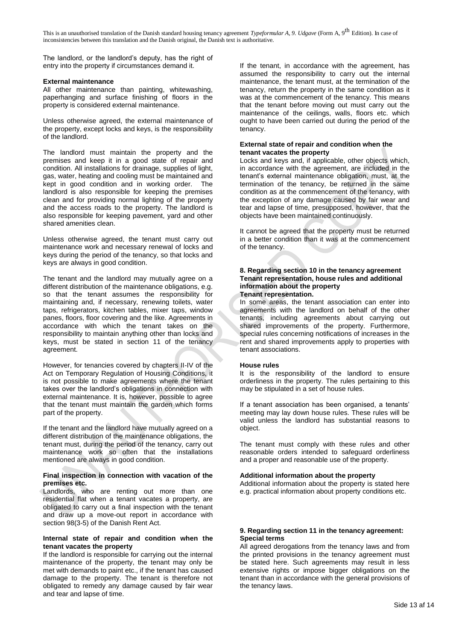The landlord, or the landlord's deputy, has the right of entry into the property if circumstances demand it.

# **External maintenance**

All other maintenance than painting, whitewashing, paperhanging and surface finishing of floors in the property is considered external maintenance.

Unless otherwise agreed, the external maintenance of the property, except locks and keys, is the responsibility of the landlord.

The landlord must maintain the property and the premises and keep it in a good state of repair and condition. All installations for drainage, supplies of light, gas, water, heating and cooling must be maintained and kept in good condition and in working order. The landlord is also responsible for keeping the premises clean and for providing normal lighting of the property and the access roads to the property. The landlord is also responsible for keeping pavement, yard and other shared amenities clean.

Unless otherwise agreed, the tenant must carry out maintenance work and necessary renewal of locks and keys during the period of the tenancy, so that locks and keys are always in good condition.

The tenant and the landlord may mutually agree on a different distribution of the maintenance obligations, e.g. so that the tenant assumes the responsibility for maintaining and, if necessary, renewing toilets, water taps, refrigerators, kitchen tables, mixer taps, window panes, floors, floor covering and the like. Agreements in accordance with which the tenant takes on the responsibility to maintain anything other than locks and keys, must be stated in section 11 of the tenancy agreement.

However, for tenancies covered by chapters II-IV of the Act on Temporary Regulation of Housing Conditions, it is not possible to make agreements where the tenant takes over the landlord's obligations in connection with external maintenance. It is, however, possible to agree that the tenant must maintain the garden which forms part of the property.

If the tenant and the landlord have mutually agreed on a different distribution of the maintenance obligations, the tenant must, during the period of the tenancy, carry out maintenance work so often that the installations mentioned are always in good condition.

# **Final inspection in connection with vacation of the premises etc.**

Landlords, who are renting out more than one residential flat when a tenant vacates a property, are obligated to carry out a final inspection with the tenant and draw up a move-out report in accordance with section 98(3-5) of the Danish Rent Act.

#### **Internal state of repair and condition when the tenant vacates the property**

If the landlord is responsible for carrying out the internal maintenance of the property, the tenant may only be met with demands to paint etc., if the tenant has caused damage to the property. The tenant is therefore not obligated to remedy any damage caused by fair wear and tear and lapse of time.

If the tenant, in accordance with the agreement, has assumed the responsibility to carry out the internal maintenance, the tenant must, at the termination of the tenancy, return the property in the same condition as it was at the commencement of the tenancy. This means that the tenant before moving out must carry out the maintenance of the ceilings, walls, floors etc. which ought to have been carried out during the period of the tenancy.

# **External state of repair and condition when the tenant vacates the property**

Locks and keys and, if applicable, other objects which, in accordance with the agreement, are included in the tenant's external maintenance obligation, must, at the termination of the tenancy, be returned in the same condition as at the commencement of the tenancy, with the exception of any damage caused by fair wear and tear and lapse of time, presupposed, however, that the objects have been maintained continuously.

It cannot be agreed that the property must be returned in a better condition than it was at the commencement of the tenancy.

#### **8. Regarding section 10 in the tenancy agreement Tenant representation, house rules and additional information about the property Tenant representation.**

In some areas, the tenant association can enter into agreements with the landlord on behalf of the other tenants, including agreements about carrying out shared improvements of the property. Furthermore, special rules concerning notifications of increases in the rent and shared improvements apply to properties with tenant associations.

# **House rules**

It is the responsibility of the landlord to ensure orderliness in the property. The rules pertaining to this may be stipulated in a set of house rules.

If a tenant association has been organised, a tenants' meeting may lay down house rules. These rules will be valid unless the landlord has substantial reasons to object.

The tenant must comply with these rules and other reasonable orders intended to safeguard orderliness and a proper and reasonable use of the property.

# **Additional information about the property**

Additional information about the property is stated here e.g. practical information about property conditions etc.

# **9. Regarding section 11 in the tenancy agreement: Special terms**

All agreed derogations from the tenancy laws and from the printed provisions in the tenancy agreement must be stated here. Such agreements may result in less extensive rights or impose bigger obligations on the tenant than in accordance with the general provisions of the tenancy laws.